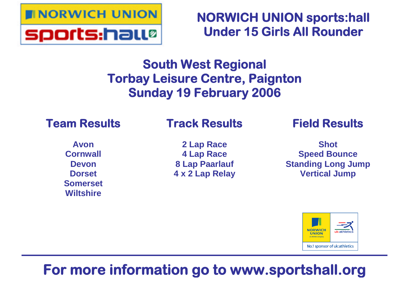

**NORWICH UNION sports:hall Under 15 Girls All Rounder**

# **South West Regional Torbay Leisure Centre, Paignton Sunday 19 February 2006**

# **Team Results**

# **Track Results**

**Avon Cornwall Devon Dorset Somerset Wiltshire**

**2 Lap Race 4 Lap Race 8 Lap Paarlauf 4 x 2 Lap Relay** **Field Results**

**Shot Speed Bounce Standing Long Jump Vertical Jump**



# **For more information go to www.sportshall.org**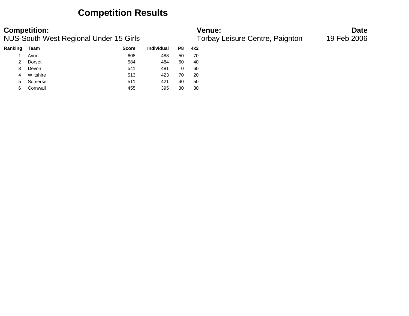### **Competition Results**

| Team      | <b>Score</b> | <b>Individual</b> | P8 | 4x2 |
|-----------|--------------|-------------------|----|-----|
| Avon      | 608          | 488               | 50 | 70  |
| Dorset    | 584          | 484               | 60 | 40  |
| Devon     | 541          | 481               | 0  | 60  |
| Wiltshire | 513          | 423               | 70 | 20  |
| Somerset  | 511          | 421               | 40 | 50  |
| Cornwall  | 455          | 395               | 30 | 30  |
|           |              |                   |    |     |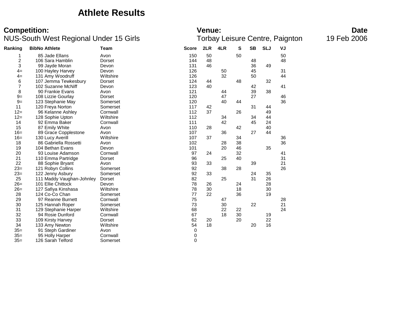### **Athlete Results**

# **Competition:**<br>**Date**<br>Torbay Leisure Centre, Paignton 19 Feb 2006<br>Torbay Leisure Centre, Paignton 19 Feb 2006

### NUS-South West Regional Under 15 Girls

| Ranking | <b>BibNo Athlete</b>      | <b>Team</b> | <b>Score</b> | 2LR | 4LR | S  | <b>SB</b> | <b>SLJ</b> | VJ |  |
|---------|---------------------------|-------------|--------------|-----|-----|----|-----------|------------|----|--|
| 1       | 85 Jade Ellans            | Avon        | 150          | 50  |     | 50 |           |            | 50 |  |
| 2       | 106 Sara Hamblin          | Dorset      | 144          | 48  |     |    | 48        |            | 48 |  |
| 3       | 99 Jayde Moran            | Devon       | 131          | 46  |     |    | 36        | 49         |    |  |
| $4=$    | 100 Hayley Harvey         | Devon       | 126          |     | 50  |    | 45        |            | 31 |  |
| $4=$    | 131 Amy Woodruff          | Wiltshire   | 126          |     | 32  |    | 50        |            | 44 |  |
| 6       | 107 Jemma Tewkesbury      | Dorset      | 124          | 44  |     | 48 |           | 32         |    |  |
| 7       | 102 Suzanne McNiff        | Devon       | 123          | 40  |     |    | 42        |            | 41 |  |
| 8       | 90 Frankie Evans          | Avon        | 121          |     | 44  |    | 39        | 38         |    |  |
| $9=$    | 108 Lizzie Gourlay        | Dorset      | 120          |     | 47  |    | 27        |            | 46 |  |
| $9=$    | 123 Stephanie May         | Somerset    | 120          |     | 40  | 44 |           |            | 36 |  |
| 11      | 120 Freya Norton          | Somerset    | 117          | 42  |     |    | 31        | 44         |    |  |
| $12 =$  | 96 Kelanne Ashley         | Cornwall    | 112          | 37  |     | 26 |           | 49         |    |  |
| $12=$   | 128 Sophie Upton          | Wiltshire   | 112          |     | 34  |    | 34        | 44         |    |  |
| 14      | 92 Emma Baker             | Cornwall    | 111          |     | 42  |    | 45        | 24         |    |  |
| 15      | 87 Emily White            | Avon        | 110          | 28  |     | 42 |           | 40         |    |  |
| $16=$   | 89 Grace Copplestone      | Avon        | 107          |     | 36  |    | 27        | 44         |    |  |
| $16=$   | 130 Lucy Averill          | Wiltshire   | 107          | 37  |     | 34 |           |            | 36 |  |
| 18      | 86 Gabriella Rossetti     | Avon        | 102          |     | 28  | 38 |           |            | 36 |  |
| 19      | 104 Bethan Evans          | Devon       | 101          |     | 20  | 46 |           | 35         |    |  |
| 20      | 93 Louise Adamson         | Cornwall    | 97           | 24  |     | 32 |           |            | 41 |  |
| 21      | 110 Emma Partridge        | Dorset      | 96           |     | 25  | 40 |           |            | 31 |  |
| 22      | 88 Sophie Bryant          | Avon        | 93           | 33  |     |    | 39        |            | 21 |  |
| $23=$   | 121 Robyn Collins         | Somerset    | 92           |     | 38  | 28 |           |            | 26 |  |
| $23=$   | 122 Jenny Asbury          | Somerset    | 92           | 33  |     |    | 24        | 35         |    |  |
| 25      | 111 Maddy Vaughan-Johnley | Dorset      | 82           |     | 25  |    | 31        | 26         |    |  |
| $26=$   | 101 Ellie Chittock        | Devon       | 78           | 26  |     | 24 |           | 28         |    |  |
| $26=$   | 127 Safiya Kinshasa       | Wiltshire   | 78           | 30  |     | 18 |           | 30         |    |  |
| 28      | 124 Co-Co Chan            | Somerset    | 77           | 22  |     | 36 |           | 19         |    |  |
| 29      | 97 Reanne Burnett         | Cornwall    | 75           |     | 47  |    |           |            | 28 |  |
| 30      | 125 Hannah Roper          | Somerset    | 73           |     | 30  |    | 22        |            | 21 |  |
| 31      | 129 Stephanie Harper      | Wiltshire   | 68           |     | 22  | 22 |           |            | 24 |  |
| 32      | 94 Rosie Dunford          | Cornwall    | 67           |     | 18  | 30 |           | 19         |    |  |
| 33      | 109 Kirsty Harvey         | Dorset      | 62           | 20  |     | 20 |           | 22         |    |  |
| 34      | 133 Amy Newton            | Wiltshire   | 54           | 18  |     |    | 20        | 16         |    |  |
| $35=$   | 91 Steph Gardiner         | Avon        | 0            |     |     |    |           |            |    |  |
| $35=$   | 95 Holly Harper           | Cornwall    | 0            |     |     |    |           |            |    |  |
| $35=$   | 126 Sarah Telford         | Somerset    | 0            |     |     |    |           |            |    |  |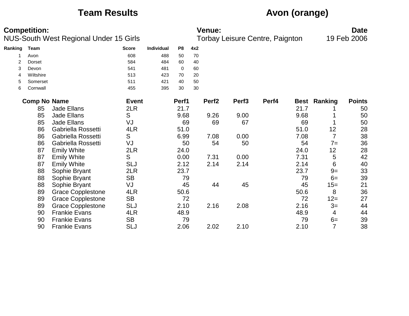## **Team Results Avon (orange)**

|         | <b>Competition:</b> | NUS-South West Regional Under 15 Girls |              |            |                |     | <b>Venue:</b>     |                   | Torbay Leisure Centre, Paignton |      |                     | <b>Date</b><br>19 Feb 2006 |
|---------|---------------------|----------------------------------------|--------------|------------|----------------|-----|-------------------|-------------------|---------------------------------|------|---------------------|----------------------------|
| Ranking | <b>Team</b>         |                                        | <b>Score</b> | Individual | P <sub>8</sub> | 4x2 |                   |                   |                                 |      |                     |                            |
|         | Avon                |                                        | 608          | 488        | 50             | 70  |                   |                   |                                 |      |                     |                            |
| 2       | Dorset              |                                        | 584          | 484        | 60             | 40  |                   |                   |                                 |      |                     |                            |
| 3       | Devon               |                                        | 541          | 481        | 0              | 60  |                   |                   |                                 |      |                     |                            |
| 4       | Wiltshire           |                                        | 513          | 423        | 70             | 20  |                   |                   |                                 |      |                     |                            |
| 5       | Somerset            |                                        | 511          | 421        | 40             | 50  |                   |                   |                                 |      |                     |                            |
| 6       | Cornwall            |                                        | 455          | 395        | 30             | 30  |                   |                   |                                 |      |                     |                            |
|         | <b>Comp No Name</b> |                                        | <b>Event</b> |            | Perf1          |     | Perf <sub>2</sub> | Perf <sub>3</sub> | Perf4                           |      | <b>Best Ranking</b> | <b>Points</b>              |
|         | 85                  | <b>Jade Ellans</b>                     | 2LR          |            | 21.7           |     |                   |                   |                                 | 21.7 |                     | 50                         |
|         | 85                  | Jade Ellans                            | S            |            | 9.68           |     | 9.26              | 9.00              |                                 | 9.68 |                     | 50                         |
|         | 85                  | <b>Jade Ellans</b>                     | VJ           |            | 69             |     | 69                | 67                |                                 | 69   |                     | 50                         |
|         | 86                  | Gabriella Rossetti                     | 4LR          |            | 51.0           |     |                   |                   |                                 | 51.0 | 12                  | 28                         |
|         | 86                  | Gabriella Rossetti                     | S            |            | 6.99           |     | 7.08              | 0.00              |                                 | 7.08 | $\overline{7}$      | 38                         |
|         | 86                  | Gabriella Rossetti                     | VJ           |            | 50             |     | 54                | 50                |                                 | 54   | $7=$                | 36                         |
|         | 87                  | <b>Emily White</b>                     | 2LR          |            | 24.0           |     |                   |                   |                                 | 24.0 | 12                  | 28                         |
|         | 87                  | <b>Emily White</b>                     | S            |            | 0.00           |     | 7.31              | 0.00              |                                 | 7.31 | 5                   | 42                         |
|         | 87                  | <b>Emily White</b>                     | <b>SLJ</b>   |            | 2.12           |     | 2.14              | 2.14              |                                 | 2.14 | 6                   | 40                         |
|         | 88                  | Sophie Bryant                          | 2LR          |            | 23.7           |     |                   |                   |                                 | 23.7 | $9=$                | 33                         |
|         | 88                  | Sophie Bryant                          | <b>SB</b>    |            | 79             |     |                   |                   |                                 | 79   | $6=$                | 39                         |
|         | 88                  | Sophie Bryant                          | VJ           |            | 45             |     | 44                | 45                |                                 | 45   | $15=$               | 21                         |
|         | 89                  | <b>Grace Copplestone</b>               | 4LR          |            | 50.6           |     |                   |                   |                                 | 50.6 | 8                   | 36                         |
|         | 89                  | <b>Grace Copplestone</b>               | <b>SB</b>    |            | 72             |     |                   |                   |                                 | 72   | $12 =$              | 27                         |
|         | 89                  | <b>Grace Copplestone</b>               | <b>SLJ</b>   |            | 2.10           |     | 2.16              | 2.08              |                                 | 2.16 | $3=$                | 44                         |
|         | 90                  | <b>Frankie Evans</b>                   | 4LR          |            | 48.9           |     |                   |                   |                                 | 48.9 | 4                   | 44                         |
|         | 90                  | <b>Frankie Evans</b>                   | <b>SB</b>    |            | 79             |     |                   |                   |                                 | 79   | $6=$                | 39                         |
|         | 90                  | <b>Frankie Evans</b>                   | <b>SLJ</b>   |            | 2.06           |     | 2.02              | 2.10              |                                 | 2.10 | 7                   | 38                         |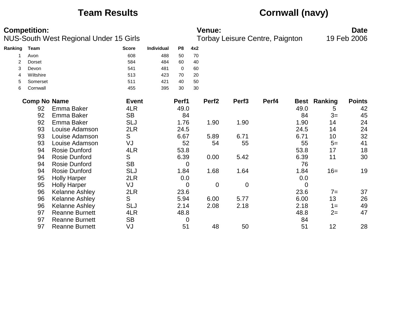# **Team Results Cornwall (navy)**

| <b>Competition:</b><br>NUS-South West Regional Under 15 Girls |                     |                       | <b>Venue:</b><br>19 Feb 2006<br>Torbay Leisure Centre, Paignton |            |                |     |                   |                   |       |             | <b>Date</b>    |               |
|---------------------------------------------------------------|---------------------|-----------------------|-----------------------------------------------------------------|------------|----------------|-----|-------------------|-------------------|-------|-------------|----------------|---------------|
| Ranking                                                       | <b>Team</b>         |                       | <b>Score</b>                                                    | Individual | P <sub>8</sub> | 4x2 |                   |                   |       |             |                |               |
|                                                               | Avon                |                       | 608                                                             | 488        | 50             | 70  |                   |                   |       |             |                |               |
| $\overline{2}$                                                | <b>Dorset</b>       |                       | 584                                                             | 484        | 60             | 40  |                   |                   |       |             |                |               |
| 3                                                             | Devon               |                       | 541                                                             | 481        | 0              | 60  |                   |                   |       |             |                |               |
| 4                                                             | Wiltshire           |                       | 513                                                             | 423        | 70             | 20  |                   |                   |       |             |                |               |
| 5                                                             | Somerset            |                       | 511                                                             | 421        | 40             | 50  |                   |                   |       |             |                |               |
| 6                                                             | Cornwall            |                       | 455                                                             | 395        | 30             | 30  |                   |                   |       |             |                |               |
|                                                               | <b>Comp No Name</b> |                       | <b>Event</b>                                                    |            | Perf1          |     | Perf <sub>2</sub> | Perf <sub>3</sub> | Perf4 | <b>Best</b> | <b>Ranking</b> | <b>Points</b> |
|                                                               | 92                  | Emma Baker            | 4LR                                                             |            | 49.0           |     |                   |                   |       | 49.0        | 5              | 42            |
|                                                               | 92                  | Emma Baker            | <b>SB</b>                                                       |            | 84             |     |                   |                   |       | 84          | $3=$           | 45            |
|                                                               | 92                  | Emma Baker            | <b>SLJ</b>                                                      |            | 1.76           |     | 1.90              | 1.90              |       | 1.90        | 14             | 24            |
|                                                               | 93                  | Louise Adamson        | 2LR                                                             |            | 24.5           |     |                   |                   |       | 24.5        | 14             | 24            |
|                                                               | 93                  | Louise Adamson        | S                                                               |            | 6.67           |     | 5.89              | 6.71              |       | 6.71        | 10             | 32            |
|                                                               | 93                  | Louise Adamson        | VJ                                                              |            | 52             |     | 54                | 55                |       | 55          | $5=$           | 41            |
|                                                               | 94                  | <b>Rosie Dunford</b>  | 4LR                                                             |            | 53.8           |     |                   |                   |       | 53.8        | 17             | 18            |
|                                                               | 94                  | <b>Rosie Dunford</b>  | S                                                               |            | 6.39           |     | 0.00              | 5.42              |       | 6.39        | 11             | 30            |
|                                                               | 94                  | <b>Rosie Dunford</b>  | <b>SB</b>                                                       |            | $\overline{0}$ |     |                   |                   |       | 76          |                |               |
|                                                               | 94                  | <b>Rosie Dunford</b>  | <b>SLJ</b>                                                      |            | 1.84           |     | 1.68              | 1.64              |       | 1.84        | $16=$          | 19            |
|                                                               | 95                  | <b>Holly Harper</b>   | 2LR                                                             |            | 0.0            |     |                   |                   |       | 0.0         |                |               |
|                                                               | 95                  | <b>Holly Harper</b>   | VJ                                                              |            | $\mathbf 0$    |     | $\mathbf 0$       | $\mathbf 0$       |       | 0           |                |               |
|                                                               | 96                  | <b>Kelanne Ashley</b> | 2LR                                                             |            | 23.6           |     |                   |                   |       | 23.6        | $7=$           | 37            |
|                                                               | 96                  | <b>Kelanne Ashley</b> | S                                                               |            | 5.94           |     | 6.00              | 5.77              |       | 6.00        | 13             | 26            |
|                                                               | 96                  | <b>Kelanne Ashley</b> | <b>SLJ</b>                                                      |            | 2.14           |     | 2.08              | 2.18              |       | 2.18        | $1 =$          | 49            |
|                                                               | 97                  | <b>Reanne Burnett</b> | 4LR                                                             |            | 48.8           |     |                   |                   |       | 48.8        | $2=$           | 47            |
|                                                               | 97                  | <b>Reanne Burnett</b> | <b>SB</b>                                                       |            | 0              |     |                   |                   |       | 84          |                |               |
|                                                               | 97                  | <b>Reanne Burnett</b> | VJ                                                              |            | 51             |     | 48                | 50                |       | 51          | 12             | 28            |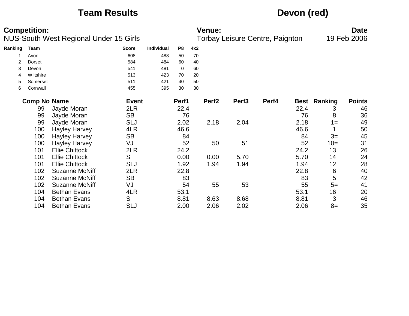## **Team Results Devon (red)**

| <b>Competition:</b> |                     |                                               |              |                   | <b>Venue:</b>  |     |                   |                   |                                        |      |         | <b>Date</b>   |  |
|---------------------|---------------------|-----------------------------------------------|--------------|-------------------|----------------|-----|-------------------|-------------------|----------------------------------------|------|---------|---------------|--|
|                     |                     | <b>NUS-South West Regional Under 15 Girls</b> |              |                   |                |     |                   |                   | <b>Torbay Leisure Centre, Paignton</b> |      |         | 19 Feb 2006   |  |
| Ranking             | Team                |                                               | <b>Score</b> | <b>Individual</b> | P <sub>8</sub> | 4x2 |                   |                   |                                        |      |         |               |  |
|                     | Avon                |                                               | 608          | 488               | 50             | 70  |                   |                   |                                        |      |         |               |  |
| 2                   | Dorset              |                                               | 584          | 484               | 60             | 40  |                   |                   |                                        |      |         |               |  |
| 3                   | Devon               |                                               | 541          | 481               | 0              | 60  |                   |                   |                                        |      |         |               |  |
| 4                   | Wiltshire           |                                               | 513          | 423               | 70             | 20  |                   |                   |                                        |      |         |               |  |
| 5                   | Somerset            |                                               | 511          | 421               | 40             | 50  |                   |                   |                                        |      |         |               |  |
| 6                   | Cornwall            |                                               | 455          | 395               | 30             | 30  |                   |                   |                                        |      |         |               |  |
|                     | <b>Comp No Name</b> |                                               | <b>Event</b> |                   | Perf1          |     | Perf <sub>2</sub> | Perf <sub>3</sub> | Perf4                                  | Best | Ranking | <b>Points</b> |  |
|                     | 99                  | Jayde Moran                                   | 2LR          |                   | 22.4           |     |                   |                   |                                        | 22.4 | 3       | 46            |  |
|                     | 99                  | Jayde Moran                                   | <b>SB</b>    |                   | 76             |     |                   |                   |                                        | 76   | 8       | 36            |  |
|                     | 99                  | Jayde Moran                                   | <b>SLJ</b>   |                   | 2.02           |     | 2.18              | 2.04              |                                        | 2.18 | $1 =$   | 49            |  |
|                     | 100                 | <b>Hayley Harvey</b>                          | 4LR          |                   | 46.6           |     |                   |                   |                                        | 46.6 |         | 50            |  |
|                     | 100                 | <b>Hayley Harvey</b>                          | <b>SB</b>    |                   | 84             |     |                   |                   |                                        | 84   | $3=$    | 45            |  |
|                     | 100                 | <b>Hayley Harvey</b>                          | VJ           |                   | 52             |     | 50                | 51                |                                        | 52   | $10=$   | 31            |  |
|                     | 101                 | <b>Ellie Chittock</b>                         | 2LR          |                   | 24.2           |     |                   |                   |                                        | 24.2 | 13      | 26            |  |
|                     | 101                 | <b>Ellie Chittock</b>                         | S            |                   | 0.00           |     | 0.00              | 5.70              |                                        | 5.70 | 14      | 24            |  |
|                     | 101                 | <b>Ellie Chittock</b>                         | <b>SLJ</b>   |                   | 1.92           |     | 1.94              | 1.94              |                                        | 1.94 | 12      | 28            |  |
|                     | 102                 | <b>Suzanne McNiff</b>                         | 2LR          |                   | 22.8           |     |                   |                   |                                        | 22.8 | 6       | 40            |  |
|                     | 102                 | <b>Suzanne McNiff</b>                         | <b>SB</b>    |                   | 83             |     |                   |                   |                                        | 83   | 5       | 42            |  |
|                     | 102                 | <b>Suzanne McNiff</b>                         | VJ           |                   | 54             |     | 55                | 53                |                                        | 55   | $5=$    | 41            |  |
|                     | 104                 | <b>Bethan Evans</b>                           | 4LR          |                   | 53.1           |     |                   |                   |                                        | 53.1 | 16      | 20            |  |
|                     | 104                 | <b>Bethan Evans</b>                           | S            |                   | 8.81           |     | 8.63              | 8.68              |                                        | 8.81 | 3       | 46            |  |
|                     | 104                 | <b>Bethan Evans</b>                           | <b>SLJ</b>   |                   | 2.00           |     | 2.06              | 2.02              |                                        | 2.06 | $8=$    | 35            |  |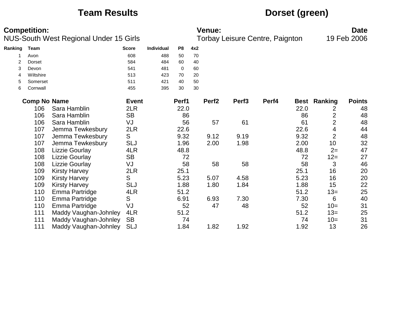## **Team Results Dorset (green)**

| <b>Competition:</b><br>NUS-South West Regional Under 15 Girls |                     |                       |              | <b>Venue:</b><br>Torbay Leisure Centre, Paignton |                |     |                   |                   |       | <b>Date</b><br>19 Feb 2006 |                     |               |
|---------------------------------------------------------------|---------------------|-----------------------|--------------|--------------------------------------------------|----------------|-----|-------------------|-------------------|-------|----------------------------|---------------------|---------------|
| Ranking                                                       | Team                |                       | <b>Score</b> | <b>Individual</b>                                | P <sub>8</sub> | 4x2 |                   |                   |       |                            |                     |               |
|                                                               | Avon                |                       | 608          | 488                                              | 50             | 70  |                   |                   |       |                            |                     |               |
| 2                                                             | Dorset              |                       | 584          | 484                                              | 60             | 40  |                   |                   |       |                            |                     |               |
| 3                                                             | Devon               |                       | 541          | 481                                              | $\mathbf 0$    | 60  |                   |                   |       |                            |                     |               |
| 4                                                             | Wiltshire           |                       | 513          | 423                                              | 70             | 20  |                   |                   |       |                            |                     |               |
| 5                                                             | Somerset            |                       | 511          | 421                                              | 40             | 50  |                   |                   |       |                            |                     |               |
| 6                                                             | Cornwall            |                       | 455          | 395                                              | 30             | 30  |                   |                   |       |                            |                     |               |
|                                                               | <b>Comp No Name</b> |                       | <b>Event</b> |                                                  | Perf1          |     | Perf <sub>2</sub> | Perf <sub>3</sub> | Perf4 |                            | <b>Best Ranking</b> | <b>Points</b> |
|                                                               | 106                 | Sara Hamblin          | 2LR          |                                                  | 22.0           |     |                   |                   |       | 22.0                       | 2                   | 48            |
|                                                               | 106                 | Sara Hamblin          | <b>SB</b>    |                                                  | 86             |     |                   |                   |       | 86                         | $\overline{2}$      | 48            |
|                                                               | 106                 | Sara Hamblin          | VJ           |                                                  | 56             |     | 57                | 61                |       | 61                         | $\overline{2}$      | 48            |
|                                                               | 107                 | Jemma Tewkesbury      | 2LR          |                                                  | 22.6           |     |                   |                   |       | 22.6                       | 4                   | 44            |
|                                                               | 107                 | Jemma Tewkesbury      | S            |                                                  | 9.32           |     | 9.12              | 9.19              |       | 9.32                       | $\overline{2}$      | 48            |
|                                                               | 107                 | Jemma Tewkesbury      | <b>SLJ</b>   |                                                  | 1.96           |     | 2.00              | 1.98              |       | 2.00                       | 10                  | 32            |
|                                                               | 108                 | <b>Lizzie Gourlay</b> | 4LR          |                                                  | 48.8           |     |                   |                   |       | 48.8                       | $2=$                | 47            |
|                                                               | 108                 | <b>Lizzie Gourlay</b> | <b>SB</b>    |                                                  | 72             |     |                   |                   |       | 72                         | $12 =$              | 27            |
|                                                               | 108                 | Lizzie Gourlay        | VJ           |                                                  | 58             |     | 58                | 58                |       | 58                         | 3                   | 46            |
|                                                               | 109                 | <b>Kirsty Harvey</b>  | 2LR          |                                                  | 25.1           |     |                   |                   |       | 25.1                       | 16                  | 20            |
|                                                               | 109                 | <b>Kirsty Harvey</b>  | S            |                                                  | 5.23           |     | 5.07              | 4.58              |       | 5.23                       | 16                  | 20            |
|                                                               | 109                 | <b>Kirsty Harvey</b>  | <b>SLJ</b>   |                                                  | 1.88           |     | 1.80              | 1.84              |       | 1.88                       | 15                  | 22            |
|                                                               | 110                 | Emma Partridge        | 4LR          |                                                  | 51.2           |     |                   |                   |       | 51.2                       | $13=$               | 25            |
|                                                               | 110                 | Emma Partridge        | S            |                                                  | 6.91           |     | 6.93              | 7.30              |       | 7.30                       | 6                   | 40            |
|                                                               | 110                 | Emma Partridge        | VJ           |                                                  | 52             |     | 47                | 48                |       | 52                         | $10=$               | 31            |
|                                                               | 111                 | Maddy Vaughan-Johnley | 4LR          |                                                  | 51.2           |     |                   |                   |       | 51.2                       | $13=$               | 25            |
|                                                               | 111                 | Maddy Vaughan-Johnley | <b>SB</b>    |                                                  | 74             |     |                   |                   |       | 74                         | $10=$               | 31            |
|                                                               | 111                 | Maddy Vaughan-Johnley | <b>SLJ</b>   |                                                  | 1.84           |     | 1.82              | 1.92              |       | 1.92                       | 13                  | 26            |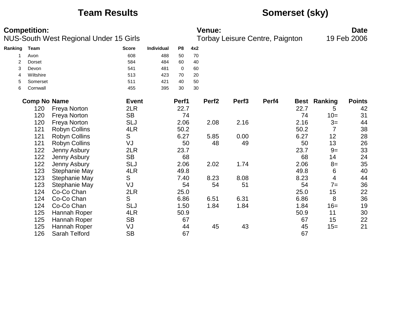# **Team Results Somerset (sky)**

|         | <b>Competition:</b> |                                        |              |            |                |     | <b>Venue:</b>     |                   |                                 |      |                     | <b>Date</b>   |
|---------|---------------------|----------------------------------------|--------------|------------|----------------|-----|-------------------|-------------------|---------------------------------|------|---------------------|---------------|
|         |                     | NUS-South West Regional Under 15 Girls |              |            |                |     |                   |                   | Torbay Leisure Centre, Paignton |      |                     | 19 Feb 2006   |
| Ranking | Team                |                                        | <b>Score</b> | Individual | P <sub>8</sub> | 4x2 |                   |                   |                                 |      |                     |               |
|         | Avon                |                                        | 608          | 488        | 50             | 70  |                   |                   |                                 |      |                     |               |
| 2       | <b>Dorset</b>       |                                        | 584          | 484        | 60             | 40  |                   |                   |                                 |      |                     |               |
| 3       | Devon               |                                        | 541          | 481        | 0              | 60  |                   |                   |                                 |      |                     |               |
| 4       | Wiltshire           |                                        | 513          | 423        | 70             | 20  |                   |                   |                                 |      |                     |               |
| 5       | Somerset            |                                        | 511          | 421        | 40             | 50  |                   |                   |                                 |      |                     |               |
| 6       | Cornwall            |                                        | 455          | 395        | 30             | 30  |                   |                   |                                 |      |                     |               |
|         | <b>Comp No Name</b> |                                        | <b>Event</b> |            | Perf1          |     | Perf <sub>2</sub> | Perf <sub>3</sub> | Perf4                           |      | <b>Best Ranking</b> | <b>Points</b> |
|         | 120                 | <b>Freya Norton</b>                    | 2LR          |            | 22.7           |     |                   |                   |                                 | 22.7 | 5                   | 42            |
|         | 120                 | <b>Freya Norton</b>                    | <b>SB</b>    |            | 74             |     |                   |                   |                                 | 74   | $10=$               | 31            |
|         | 120                 | <b>Freya Norton</b>                    | <b>SLJ</b>   |            | 2.06           |     | 2.08              | 2.16              |                                 | 2.16 | $3=$                | 44            |
|         | 121                 | <b>Robyn Collins</b>                   | 4LR          |            | 50.2           |     |                   |                   |                                 | 50.2 | 7                   | 38            |
|         | 121                 | <b>Robyn Collins</b>                   | S            |            | 6.27           |     | 5.85              | 0.00              |                                 | 6.27 | 12                  | 28            |
|         | 121                 | <b>Robyn Collins</b>                   | VJ           |            | 50             |     | 48                | 49                |                                 | 50   | 13                  | 26            |
|         | 122                 | Jenny Asbury                           | 2LR          |            | 23.7           |     |                   |                   |                                 | 23.7 | $9=$                | 33            |
|         | 122                 | Jenny Asbury                           | <b>SB</b>    |            | 68             |     |                   |                   |                                 | 68   | 14                  | 24            |
|         | 122                 | Jenny Asbury                           | <b>SLJ</b>   |            | 2.06           |     | 2.02              | 1.74              |                                 | 2.06 | $8=$                | 35            |
|         | 123                 | Stephanie May                          | 4LR          |            | 49.8           |     |                   |                   |                                 | 49.8 | 6                   | 40            |
|         | 123                 | Stephanie May                          | S            |            | 7.40           |     | 8.23              | 8.08              |                                 | 8.23 | 4                   | 44            |
|         | 123                 | Stephanie May                          | VJ           |            | 54             |     | 54                | 51                |                                 | 54   | $7=$                | 36            |
|         | 124                 | Co-Co Chan                             | 2LR          |            | 25.0           |     |                   |                   |                                 | 25.0 | 15                  | 22            |
|         | 124                 | Co-Co Chan                             | S            |            | 6.86           |     | 6.51              | 6.31              |                                 | 6.86 | 8                   | 36            |
|         | 124                 | Co-Co Chan                             | <b>SLJ</b>   |            | 1.50           |     | 1.84              | 1.84              |                                 | 1.84 | $16=$               | 19            |
|         | 125                 | Hannah Roper                           | 4LR          |            | 50.9           |     |                   |                   |                                 | 50.9 | 11                  | 30            |
|         | 125                 | Hannah Roper                           | <b>SB</b>    |            | 67             |     |                   |                   |                                 | 67   | 15                  | 22            |
|         | 125                 | Hannah Roper                           | VJ           |            | 44             |     | 45                | 43                |                                 | 45   | $15=$               | 21            |
|         | 126                 | Sarah Telford                          | <b>SB</b>    |            | 67             |     |                   |                   |                                 | 67   |                     |               |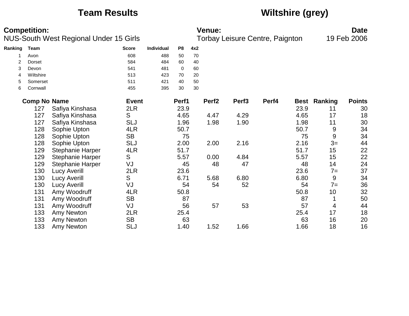# **Team Results Wiltshire (grey)**

|                | <b>Competition:</b> |                                        |              |            |                |     | <b>Venue:</b>     |                   |                                 |             |                  | <b>Date</b>   |
|----------------|---------------------|----------------------------------------|--------------|------------|----------------|-----|-------------------|-------------------|---------------------------------|-------------|------------------|---------------|
|                |                     | NUS-South West Regional Under 15 Girls |              |            |                |     |                   |                   | Torbay Leisure Centre, Paignton |             |                  | 19 Feb 2006   |
| Ranking        | <b>Team</b>         |                                        | <b>Score</b> | Individual | P <sub>8</sub> | 4x2 |                   |                   |                                 |             |                  |               |
|                | Avon                |                                        | 608          | 488        | 50             | 70  |                   |                   |                                 |             |                  |               |
| $\overline{2}$ | Dorset              |                                        | 584          | 484        | 60             | 40  |                   |                   |                                 |             |                  |               |
| 3              | Devon               |                                        | 541          | 481        | $\mathbf 0$    | 60  |                   |                   |                                 |             |                  |               |
| 4              | Wiltshire           |                                        | 513          | 423        | 70             | 20  |                   |                   |                                 |             |                  |               |
| 5              | Somerset            |                                        | 511          | 421        | 40             | 50  |                   |                   |                                 |             |                  |               |
| 6              | Cornwall            |                                        | 455          | 395        | 30             | 30  |                   |                   |                                 |             |                  |               |
|                | <b>Comp No Name</b> |                                        | <b>Event</b> |            | Perf1          |     | Perf <sub>2</sub> | Perf <sub>3</sub> | Perf4                           | <b>Best</b> | Ranking          | <b>Points</b> |
|                | 127                 | Safiya Kinshasa                        | 2LR          |            | 23.9           |     |                   |                   |                                 | 23.9        | 11               | 30            |
|                | 127                 | Safiya Kinshasa                        | S            |            | 4.65           |     | 4.47              | 4.29              |                                 | 4.65        | 17               | 18            |
|                | 127                 | Safiya Kinshasa                        | <b>SLJ</b>   |            | 1.96           |     | 1.98              | 1.90              |                                 | 1.98        | 11               | 30            |
|                | 128                 | Sophie Upton                           | 4LR          |            | 50.7           |     |                   |                   |                                 | 50.7        | 9                | 34            |
|                | 128                 | Sophie Upton                           | <b>SB</b>    |            | 75             |     |                   |                   |                                 | 75          | $\boldsymbol{9}$ | 34            |
|                | 128                 | Sophie Upton                           | <b>SLJ</b>   |            | 2.00           |     | 2.00              | 2.16              |                                 | 2.16        | $3=$             | 44            |
|                | 129                 | <b>Stephanie Harper</b>                | 4LR          |            | 51.7           |     |                   |                   |                                 | 51.7        | 15               | 22            |
|                | 129                 | <b>Stephanie Harper</b>                | S            |            | 5.57           |     | 0.00              | 4.84              |                                 | 5.57        | 15               | 22            |
|                | 129                 | <b>Stephanie Harper</b>                | VJ           |            | 45             |     | 48                | 47                |                                 | 48          | 14               | 24            |
|                | 130                 | Lucy Averill                           | 2LR          |            | 23.6           |     |                   |                   |                                 | 23.6        | $7 =$            | 37            |
|                | 130                 | <b>Lucy Averill</b>                    | S            |            | 6.71           |     | 5.68              | 6.80              |                                 | 6.80        | 9                | 34            |
|                | 130                 | <b>Lucy Averill</b>                    | VJ           |            | 54             |     | 54                | 52                |                                 | 54          | $7 =$            | 36            |
|                | 131                 | Amy Woodruff                           | 4LR          |            | 50.8           |     |                   |                   |                                 | 50.8        | 10               | 32            |
|                | 131                 | Amy Woodruff                           | <b>SB</b>    |            | 87             |     |                   |                   |                                 | 87          |                  | 50            |
|                | 131                 | Amy Woodruff                           | VJ           |            | 56             |     | 57                | 53                |                                 | 57          | 4                | 44            |
|                | 133                 | Amy Newton                             | 2LR          |            | 25.4           |     |                   |                   |                                 | 25.4        | 17               | 18            |
|                | 133                 | Amy Newton                             | <b>SB</b>    |            | 63             |     |                   |                   |                                 | 63          | 16               | 20            |
|                | 133                 | Amy Newton                             | <b>SLJ</b>   |            | 1.40           |     | 1.52              | 1.66              |                                 | 1.66        | 18               | 16            |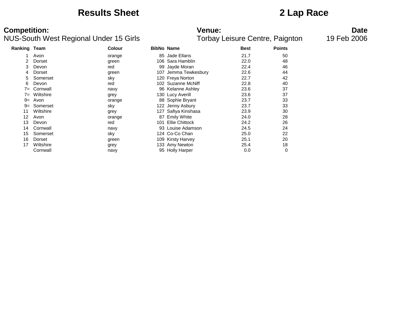### **Results Sheet 2 Lap Race**

| <b>Ranking Team</b> |           | <b>Colour</b> | <b>BibNo Name</b> |                      | <b>Best</b> | <b>Points</b> |
|---------------------|-----------|---------------|-------------------|----------------------|-------------|---------------|
|                     | Avon      | orange        |                   | 85 Jade Ellans       | 21.7        | 50            |
|                     | Dorset    | green         |                   | 106 Sara Hamblin     | 22.0        | 48            |
| 3                   | Devon     | red           |                   | 99 Jayde Moran       | 22.4        | 46            |
| 4                   | Dorset    | green         |                   | 107 Jemma Tewkesbury | 22.6        | 44            |
| 5                   | Somerset  | sky           |                   | 120 Freya Norton     | 22.7        | 42            |
| 6                   | Devon     | red           |                   | 102 Suzanne McNiff   | 22.8        | 40            |
| $7 =$               | Cornwall  | navy          |                   | 96 Kelanne Ashley    | 23.6        | 37            |
| $7 =$               | Wiltshire | grey          |                   | 130 Lucy Averill     | 23.6        | 37            |
| $9 =$               | Avon      | orange        |                   | 88 Sophie Bryant     | 23.7        | 33            |
| $9=$                | Somerset  | sky           |                   | 122 Jenny Asbury     | 23.7        | 33            |
| 11                  | Wiltshire | grey          | 127 .             | Safiya Kinshasa      | 23.9        | 30            |
| 12                  | Avon      | orange        | 87                | <b>Emily White</b>   | 24.0        | 28            |
| 13                  | Devon     | red           | 101               | Ellie Chittock       | 24.2        | 26            |
| 14                  | Cornwall  | navy          |                   | 93 Louise Adamson    | 24.5        | 24            |
| 15                  | Somerset  | sky           |                   | 124 Co-Co Chan       | 25.0        | 22            |
| 16                  | Dorset    | green         |                   | 109 Kirsty Harvey    | 25.1        | 20            |
| 17                  | Wiltshire | grey          |                   | 133 Amy Newton       | 25.4        | 18            |
|                     | Cornwall  | navy          |                   | 95 Holly Harper      | 0.0         | 0             |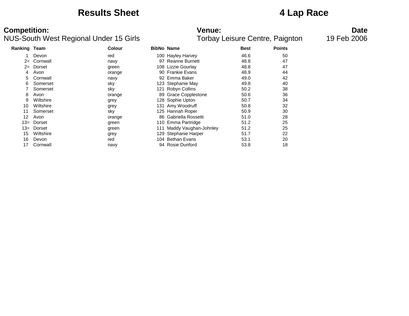### **Results Sheet 4 Lap Race**

### NUS-South West Regional Under 15 Girls

# **Competition:**<br>**Date**<br>Torbay Leisure Centre, Paignton 19 Feb 2006<br>Torbay Leisure Centre, Paignton 19 Feb 2006

| Ranking Team |           | <b>Colour</b> | <b>BibNo Name</b> |                          | <b>Best</b> | <b>Points</b> |
|--------------|-----------|---------------|-------------------|--------------------------|-------------|---------------|
|              | Devon     | red           |                   | 100 Hayley Harvey        | 46.6        | 50            |
| $2 =$        | Cornwall  | navy          | 97                | <b>Reanne Burnett</b>    | 48.8        | 47            |
| $2 =$        | Dorset    | green         |                   | 108 Lizzie Gourlay       | 48.8        | 47            |
| 4            | Avon      | orange        | 90                | <b>Frankie Evans</b>     | 48.9        | 44            |
| 5.           | Cornwall  | navy          | 92                | Emma Baker               | 49.0        | 42            |
| 6            | Somerset  | sky           |                   | 123 Stephanie May        | 49.8        | 40            |
|              | Somerset  | sky           | 121               | <b>Robyn Collins</b>     | 50.2        | 38            |
| 8            | Avon      | orange        | 89                | <b>Grace Copplestone</b> | 50.6        | 36            |
| 9            | Wiltshire | grey          |                   | 128 Sophie Upton         | 50.7        | 34            |
| 10           | Wiltshire | grey          |                   | 131 Amy Woodruff         | 50.8        | 32            |
| 11           | Somerset  | sky           |                   | 125 Hannah Roper         | 50.9        | 30            |
| 12           | Avon      | orange        | 86                | Gabriella Rossetti       | 51.0        | 28            |
| 13=          | Dorset    | green         |                   | 110 Emma Partridge       | 51.2        | 25            |
| 13=          | Dorset    | green         | 111               | Maddy Vaughan-Johnley    | 51.2        | 25            |
| 15           | Wiltshire | grey          |                   | 129 Stephanie Harper     | 51.7        | 22            |
| 16           | Devon     | red           |                   | 104 Bethan Evans         | 53.1        | 20            |
| 17           | Cornwall  | navy          |                   | 94 Rosie Dunford         | 53.8        | 18            |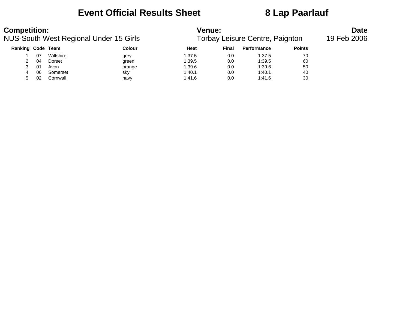## **Event Official Results Sheet 8 Lap Paarlauf**

| <b>Competition:</b>                    |    |           |        | <b>Venue:</b> | <b>Date</b>                     |                    |               |  |
|----------------------------------------|----|-----------|--------|---------------|---------------------------------|--------------------|---------------|--|
| NUS-South West Regional Under 15 Girls |    |           |        |               | Torbay Leisure Centre, Paignton | 19 Feb 2006        |               |  |
| Ranking Code Team                      |    |           | Colour | Heat          | Final                           | <b>Performance</b> | <b>Points</b> |  |
|                                        | 07 | Wiltshire | grey   | 1:37.5        | 0.0                             | 1:37.5             | 70            |  |
|                                        | 04 | Dorset    | green  | 1:39.5        | 0.0                             | 1:39.5             | 60            |  |
|                                        | 01 | Avon      | orange | 1:39.6        | 0.0                             | 1:39.6             | 50            |  |
| 4                                      | 06 | Somerset  | sky    | 1:40.1        | 0.0                             | 1:40.1             | 40            |  |
| 5                                      | 02 | Cornwall  | navy   | 1:41.6        | 0.0                             | 1:41.6             | 30            |  |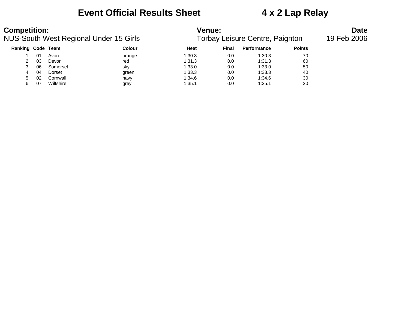### **Event Official Results Sheet 4 x 2 Lap Relay**

# **Competition: Venue: Date**

| NUS-South West Regional Under 15 Girls |    |           |        |        | Torbay Leisure Centre, Paignton | 19 Feb 2006        |               |  |
|----------------------------------------|----|-----------|--------|--------|---------------------------------|--------------------|---------------|--|
| Ranking Code Team                      |    |           | Colour | Heat   | Final                           | <b>Performance</b> | <b>Points</b> |  |
|                                        | 01 | Avon      | orange | 1:30.3 | 0.0                             | 1:30.3             | 70            |  |
|                                        | 03 | Devon     | red    | 1:31.3 | 0.0                             | 1:31.3             | 60            |  |
|                                        | 06 | Somerset  | sky    | 1:33.0 | 0.0                             | 1:33.0             | 50            |  |
| 4                                      | 04 | Dorset    | green  | 1:33.3 | 0.0                             | 1:33.3             | 40            |  |
| 5                                      | 02 | Cornwall  | navy   | 1:34.6 | 0.0                             | 1:34.6             | 30            |  |
|                                        | 07 | Wiltshire | grey   | 1:35.1 | 0.0                             | 1:35.1             | 20            |  |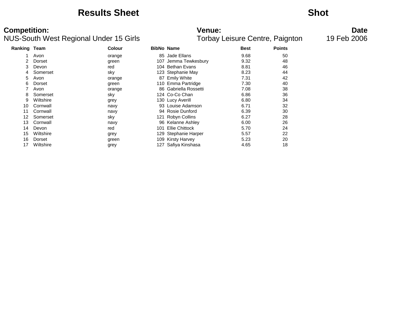### **Results Sheet Shot**

| <b>Ranking Team</b> |           | <b>Colour</b> |      | <b>BibNo Name</b>     | <b>Best</b> | <b>Points</b> |
|---------------------|-----------|---------------|------|-----------------------|-------------|---------------|
|                     | Avon      | orange        |      | 85 Jade Ellans        | 9.68        | 50            |
|                     | Dorset    | green         |      | 107 Jemma Tewkesbury  | 9.32        | 48            |
| 3                   | Devon     | red           |      | 104 Bethan Evans      | 8.81        | 46            |
| 4                   | Somerset  | sky           |      | 123 Stephanie May     | 8.23        | 44            |
| 5                   | Avon      | orange        |      | 87 Emily White        | 7.31        | 42            |
| 6                   | Dorset    | green         |      | 110 Emma Partridge    | 7.30        | 40            |
|                     | Avon      | orange        | 86.  | Gabriella Rossetti    | 7.08        | 38            |
| 8                   | Somerset  | sky           |      | 124 Co-Co Chan        | 6.86        | 36            |
| 9                   | Wiltshire | grey          |      | 130 Lucy Averill      | 6.80        | 34            |
| 10                  | Cornwall  | navy          |      | 93 Louise Adamson     | 6.71        | 32            |
| 11                  | Cornwall  | navy          |      | 94 Rosie Dunford      | 6.39        | 30            |
| 12                  | Somerset  | sky           | 121  | <b>Robyn Collins</b>  | 6.27        | 28            |
| 13                  | Cornwall  | navy          |      | 96 Kelanne Ashley     | 6.00        | 26            |
| 14                  | Devon     | red           | 101  | <b>Ellie Chittock</b> | 5.70        | 24            |
| 15                  | Wiltshire | grey          |      | 129 Stephanie Harper  | 5.57        | 22            |
| 16                  | Dorset    | green         |      | 109 Kirsty Harvey     | 5.23        | 20            |
| 17                  | Wiltshire | grey          | 127. | Safiya Kinshasa       | 4.65        | 18            |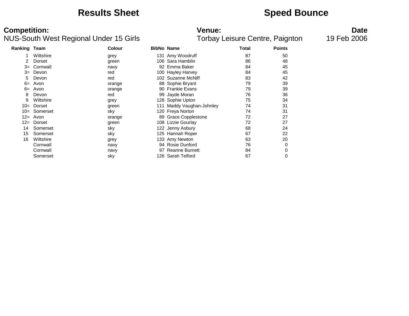### **Results Sheet Speed Bounce**

### NUS-South West Regional Under 15 Girls

**Competition:**<br>**Date**<br>Torbay Leisure Centre, Paignton 19 Feb 2006<br>Torbay Leisure Centre, Paignton 19 Feb 2006

| <b>Ranking Team</b> |           | <b>Colour</b> | <b>BibNo Name</b> |                       | <b>Total</b> | <b>Points</b> |
|---------------------|-----------|---------------|-------------------|-----------------------|--------------|---------------|
| 1                   | Wiltshire | grey          |                   | 131 Amy Woodruff      | 87           | 50            |
| 2                   | Dorset    | green         |                   | 106 Sara Hamblin      | 86           | 48            |
| $3=$                | Cornwall  | navy          | 92                | Emma Baker            | 84           | 45            |
| $3=$                | Devon     | red           |                   | 100 Hayley Harvey     | 84           | 45            |
| 5                   | Devon     | red           |                   | 102 Suzanne McNiff    | 83           | 42            |
| $6=$                | Avon      | orange        |                   | 88 Sophie Bryant      | 79           | 39            |
| $6=$                | Avon      | orange        |                   | 90 Frankie Evans      | 79           | 39            |
| 8                   | Devon     | red           |                   | 99 Jayde Moran        | 76           | 36            |
| 9                   | Wiltshire | grey          |                   | 128 Sophie Upton      | 75           | 34            |
| $10=$               | Dorset    | green         |                   | Maddy Vaughan-Johnley | 74           | 31            |
| $10=$               | Somerset  | sky           |                   | 120 Freya Norton      | 74           | 31            |
| $12 =$              | Avon      | orange        |                   | 89 Grace Copplestone  | 72           | 27            |
| $12 =$              | Dorset    | green         |                   | 108 Lizzie Gourlay    | 72           | 27            |
| 14                  | Somerset  | sky           |                   | 122 Jenny Asbury      | 68           | 24            |
| 15                  | Somerset  | sky           |                   | 125 Hannah Roper      | 67           | 22            |
| 16                  | Wiltshire | grey          |                   | 133 Amy Newton        | 63           | 20            |
|                     | Cornwall  | navy          |                   | 94 Rosie Dunford      | 76           | 0             |
|                     | Cornwall  | navy          | 97                | <b>Reanne Burnett</b> | 84           | 0             |
|                     | Somerset  | sky           |                   | 126 Sarah Telford     | 67           | 0             |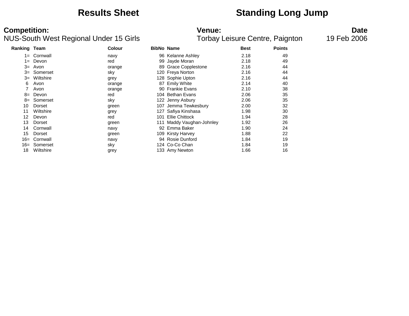## **Results Sheet Standing Long Jump**

| Ranking Team |             | <b>Colour</b> | <b>BibNo Name</b> |                       | <b>Best</b> | <b>Points</b> |
|--------------|-------------|---------------|-------------------|-----------------------|-------------|---------------|
|              | 1= Cornwall | navy          |                   | 96 Kelanne Ashley     | 2.18        | 49            |
| 1=           | Devon       | red           |                   | 99 Jayde Moran        | 2.18        | 49            |
| $3=$         | Avon        | orange        |                   | 89 Grace Copplestone  | 2.16        | 44            |
| $3=$         | Somerset    | sky           |                   | 120 Freya Norton      | 2.16        | 44            |
| $3=$         | Wiltshire   | grey          |                   | 128 Sophie Upton      | 2.16        | 44            |
| 6            | Avon        | orange        |                   | 87 Emily White        | 2.14        | 40            |
|              | Avon        | orange        |                   | 90 Frankie Evans      | 2.10        | 38            |
| $8=$         | Devon       | red           |                   | 104 Bethan Evans      | 2.06        | 35            |
| 8=           | Somerset    | sky           |                   | 122 Jenny Asbury      | 2.06        | 35            |
| 10           | Dorset      | green         | 107               | Jemma Tewkesbury      | 2.00        | 32            |
| 11           | Wiltshire   | grey          |                   | 127 Safiya Kinshasa   | 1.98        | 30            |
| 12           | Devon       | red           | 101               | <b>Ellie Chittock</b> | 1.94        | 28            |
| 13           | Dorset      | green         | 111               | Maddy Vaughan-Johnley | 1.92        | 26            |
| 14           | Cornwall    | navy          |                   | 92 Emma Baker         | 1.90        | 24            |
| 15           | Dorset      | green         |                   | 109 Kirsty Harvey     | 1.88        | 22            |
| $16=$        | Cornwall    | navy          |                   | 94 Rosie Dunford      | 1.84        | 19            |
| 16=          | Somerset    | sky           |                   | 124 Co-Co Chan        | 1.84        | 19            |
| 18           | Wiltshire   | grey          |                   | 133 Amy Newton        | 1.66        | 16            |